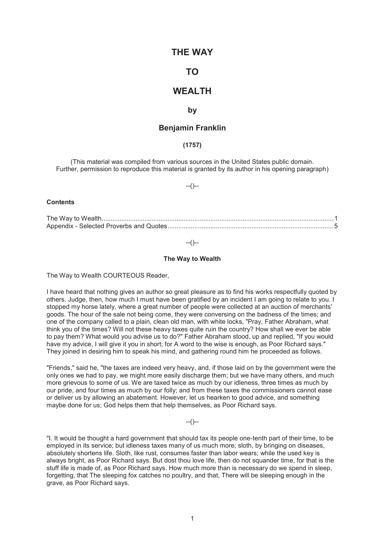# **THE WAY**

# **TO**

# **WEALTH**

### **by**

## **Benjamin Franklin**

### **(1757)**

(This material was compiled from various sources in the United States public domain. Further, permission to reproduce this material is granted by its author in his opening paragraph)

#### --()--

#### **Contents**

The Way to Wealth .................................................................................................................................. 1 Appendix - Selected Proverbs and Quotes ............................................................................................. 5

 $-(-)$ 

### **The Way to Wealth**

The Way to Wealth COURTEOUS Reader,

I have heard that nothing gives an author so great pleasure as to find his works respectfully quoted by others. Judge, then, how much I must have been gratified by an incident I am going to relate to you. I stopped my horse lately, where a great number of people were collected at an auction of merchants' goods. The hour of the sale not being come, they were conversing on the badness of the times; and one of the company called to a plain, clean old man, with white locks, "Pray, Father Abraham, what think you of the times? Will not these heavy taxes quite ruin the country? How shall we ever be able to pay them? What would you advise us to do?" Father Abraham stood, up and replied, "If you would have my advice, I will give it you in short; for A word to the wise is enough, as Poor Richard says." They joined in desiring him to speak his mind, and gathering round him he proceeded as follows.

"Friends," said he, "the taxes are indeed very heavy, and, if those laid on by the government were the only ones we had to pay, we might more easily discharge them; but we have many others, and much more grievous to some of us. We are taxed twice as much by our idleness, three times as much by our pride, and four times as much by our folly; and from these taxes the commissioners cannot ease or deliver us by allowing an abatement. However, let us hearken to good advice, and something maybe done for us; God helps them that help themselves, as Poor Richard says.

 $-(-)$ 

"I. It would be thought a hard government that should tax its people one-tenth part of their time, to be employed in its service; but idleness taxes many of us much more; sloth, by bringing on diseases, absolutely shortens life. Sloth, like rust, consumes faster than labor wears; while the used key is always bright, as Poor Richard says. But dost thou love life, then do not squander time, for that is the stuff life is made of, as Poor Richard says. How much more than is necessary do we spend in sleep, forgetting, that The sleeping fox catches no poultry, and that, There will be sleeping enough in the grave, as Poor Richard says.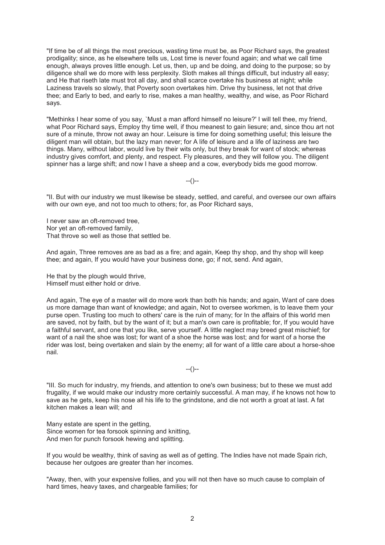"If time be of all things the most precious, wasting time must be, as Poor Richard says, the greatest prodigality; since, as he elsewhere tells us, Lost time is never found again; and what we call time enough, always proves little enough. Let us, then, up and be doing, and doing to the purpose; so by diligence shall we do more with less perplexity. Sloth makes all things difficult, but industry all easy; and He that riseth late must trot all day, and shall scarce overtake his business at night; while Laziness travels so slowly, that Poverty soon overtakes him. Drive thy business, let not that drive thee; and Early to bed, and early to rise, makes a man healthy, wealthy, and wise, as Poor Richard says.

"Methinks I hear some of you say, `Must a man afford himself no leisure?' I will tell thee, my friend, what Poor Richard says, Employ thy time well, if thou meanest to gain liesure; and, since thou art not sure of a minute, throw not away an hour. Leisure is time for doing something useful; this leisure the diligent man will obtain, but the lazy man never; for A life of leisure and a life of laziness are two things. Many, without labor, would live by their wits only, but they break for want of stock; whereas industry gives comfort, and plenty, and respect. Fly pleasures, and they will follow you. The diligent spinner has a large shift; and now I have a sheep and a cow, everybody bids me good morrow.

--()--

"II. But with our industry we must likewise be steady, settled, and careful, and oversee our own affairs with our own eye, and not too much to others; for, as Poor Richard says,

I never saw an oft-removed tree, Nor yet an oft-removed family, That throve so well as those that settled be.

And again, Three removes are as bad as a fire; and again, Keep thy shop, and thy shop will keep thee; and again, If you would have your business done, go; if not, send. And again,

He that by the plough would thrive, Himself must either hold or drive.

And again, The eye of a master will do more work than both his hands; and again, Want of care does us more damage than want of knowledge; and again, Not to oversee workmen, is to leave them your purse open. Trusting too much to others' care is the ruin of many; for In the affairs of this world men are saved, not by faith, but by the want of it; but a man's own care is profitable; for, If you would have a faithful servant, and one that you like, serve yourself. A little neglect may breed great mischief; for want of a nail the shoe was lost; for want of a shoe the horse was lost; and for want of a horse the rider was lost, being overtaken and slain by the enemy; all for want of a little care about a horse-shoe nail.

 $-(-)$ 

"III. So much for industry, my friends, and attention to one's own business; but to these we must add frugality, if we would make our industry more certainly successful. A man may, if he knows not how to save as he gets, keep his nose all his life to the grindstone, and die not worth a groat at last. A fat kitchen makes a lean will; and

Many estate are spent in the getting, Since women for tea forsook spinning and knitting, And men for punch forsook hewing and splitting.

If you would be wealthy, think of saving as well as of getting. The Indies have not made Spain rich, because her outgoes are greater than her incomes.

"Away, then, with your expensive follies, and you will not then have so much cause to complain of hard times, heavy taxes, and chargeable families; for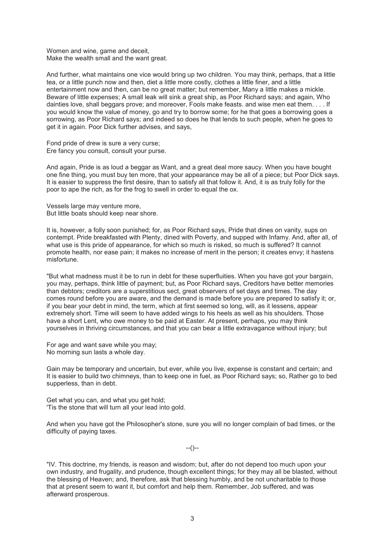Women and wine, game and deceit, Make the wealth small and the want great.

And further, what maintains one vice would bring up two children. You may think, perhaps, that a little tea, or a little punch now and then, diet a little more costly, clothes a little finer, and a little entertainment now and then, can be no great matter; but remember, Many a little makes a mickle. Beware of little expenses; A small leak will sink a great ship, as Poor Richard says; and again, Who dainties love, shall beggars prove; and moreover, Fools make feasts. and wise men eat them. . . . If you would know the value of money, go and try to borrow some; for he that goes a borrowing goes a sorrowing, as Poor Richard says; and indeed so does he that lends to such people, when he goes to get it in again. Poor Dick further advises, and says,

Fond pride of drew is sure a very curse; Ere fancy you consult, consult your purse.

And again, Pride is as loud a beggar as Want, and a great deal more saucy. When you have bought one fine thing, you must buy ten more, that your appearance may be all of a piece; but Poor Dick says. It is easier to suppress the first desire, than to satisfy all that follow it. And, it is as truly folly for the poor to ape the rich, as for the frog to swell in order to equal the ox.

Vessels large may venture more, But little boats should keep near shore.

It is, however, a folly soon punished; for, as Poor Richard says, Pride that dines on vanity, sups on contempt. Pride breakfasted with Plenty, dined with Poverty, and supped with Infamy. And, after all, of what use is this pride of appearance, for which so much is risked, so much is suffered? It cannot promote health, nor ease pain; it makes no increase of merit in the person; it creates envy; it hastens misfortune.

"But what madness must it be to run in debt for these superfluities. When you have got your bargain, you may, perhaps, think little of payment; but, as Poor Richard says, Creditors have better memories than debtors; creditors are a superstitious sect, great observers of set days and times. The day comes round before you are aware, and the demand is made before you are prepared to satisfy it; or, if you bear your debt in mind, the term, which at first seemed so long, will, as it lessens, appear extremely short. Time will seem to have added wings to his heels as well as his shoulders. Those have a short Lent, who owe money to be paid at Easter. At present, perhaps, you may think yourselves in thriving circumstances, and that you can bear a little extravagance without injury; but

For age and want save while you may; No morning sun lasts a whole day.

Gain may be temporary and uncertain, but ever, while you live, expense is constant and certain; and It is easier to build two chimneys, than to keep one in fuel, as Poor Richard says; so, Rather go to bed supperless, than in debt.

Get what you can, and what you get hold; 'Tis the stone that will turn all your lead into gold.

And when you have got the Philosopher's stone, sure you will no longer complain of bad times, or the difficulty of paying taxes.

 $-(-)$ 

"IV. This doctrine, my friends, is reason and wisdom; but, after do not depend too much upon your own industry, and frugality, and prudence, though excellent things; for they may all be blasted, without the blessing of Heaven; and, therefore, ask that blessing humbly, and be not uncharitable to those that at present seem to want it, but comfort and help them. Remember, Job suffered, and was afterward prosperous.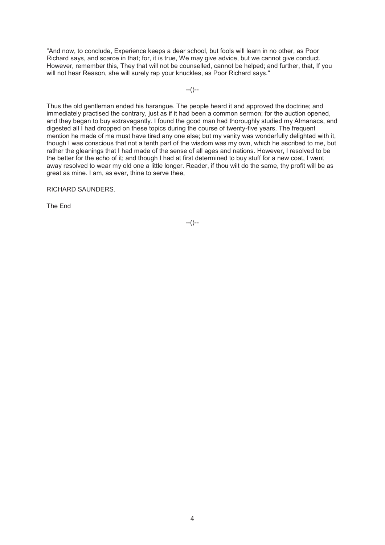"And now, to conclude, Experience keeps a dear school, but fools will learn in no other, as Poor Richard says, and scarce in that; for, it is true, We may give advice, but we cannot give conduct. However, remember this, They that will not be counselled, cannot be helped; and further, that, If you will not hear Reason, she will surely rap your knuckles, as Poor Richard says."

 $-(-)$ 

Thus the old gentleman ended his harangue. The people heard it and approved the doctrine; and immediately practised the contrary, just as if it had been a common sermon; for the auction opened, and they began to buy extravagantly. I found the good man had thoroughly studied my Almanacs, and digested all I had dropped on these topics during the course of twenty-five years. The frequent mention he made of me must have tired any one else; but my vanity was wonderfully delighted with it, though I was conscious that not a tenth part of the wisdom was my own, which he ascribed to me, but rather the gleanings that I had made of the sense of all ages and nations. However, I resolved to be the better for the echo of it; and though I had at first determined to buy stuff for a new coat, I went away resolved to wear my old one a little longer. Reader, if thou wilt do the same, thy profit will be as great as mine. I am, as ever, thine to serve thee,

RICHARD SAUNDERS.

The End

--()--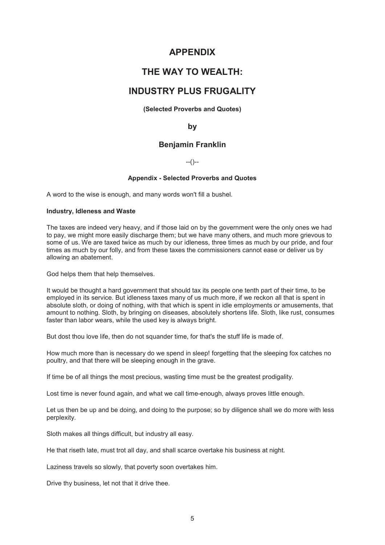# **APPENDIX**

# **THE WAY TO WEALTH:**

# **INDUSTRY PLUS FRUGALITY**

## **(Selected Proverbs and Quotes)**

## **by**

# **Benjamin Franklin**

## $-(-)$

### **Appendix - Selected Proverbs and Quotes**

A word to the wise is enough, and many words won't fill a bushel.

### **Industry, Idleness and Waste**

The taxes are indeed very heavy, and if those laid on by the government were the only ones we had to pay, we might more easily discharge them; but we have many others, and much more grievous to some of us. We are taxed twice as much by our idleness, three times as much by our pride, and four times as much by our folly, and from these taxes the commissioners cannot ease or deliver us by allowing an abatement.

God helps them that help themselves.

It would be thought a hard government that should tax its people one tenth part of their time, to be employed in its service. But idleness taxes many of us much more, if we reckon all that is spent in absolute sloth, or doing of nothing, with that which is spent in idle employments or amusements, that amount to nothing. Sloth, by bringing on diseases, absolutely shortens life. Sloth, like rust, consumes faster than labor wears, while the used key is always bright.

But dost thou love life, then do not squander time, for that's the stuff life is made of.

How much more than is necessary do we spend in sleep! forgetting that the sleeping fox catches no poultry, and that there will be sleeping enough in the grave.

If time be of all things the most precious, wasting time must be the greatest prodigality.

Lost time is never found again, and what we call time-enough, always proves little enough.

Let us then be up and be doing, and doing to the purpose; so by diligence shall we do more with less perplexity.

Sloth makes all things difficult, but industry all easy.

He that riseth late, must trot all day, and shall scarce overtake his business at night.

Laziness travels so slowly, that poverty soon overtakes him.

Drive thy business, let not that it drive thee.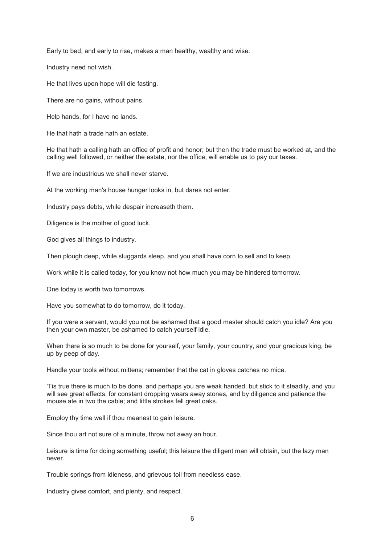Early to bed, and early to rise, makes a man healthy, wealthy and wise.

Industry need not wish.

He that lives upon hope will die fasting.

There are no gains, without pains.

Help hands, for I have no lands.

He that hath a trade hath an estate.

He that hath a calling hath an office of profit and honor; but then the trade must be worked at, and the calling well followed, or neither the estate, nor the office, will enable us to pay our taxes.

If we are industrious we shall never starve.

At the working man's house hunger looks in, but dares not enter.

Industry pays debts, while despair increaseth them.

Diligence is the mother of good luck.

God gives all things to industry.

Then plough deep, while sluggards sleep, and you shall have corn to sell and to keep.

Work while it is called today, for you know not how much you may be hindered tomorrow.

One today is worth two tomorrows.

Have you somewhat to do tomorrow, do it today.

If you were a servant, would you not be ashamed that a good master should catch you idle? Are you then your own master, be ashamed to catch yourself idle.

When there is so much to be done for yourself, your family, your country, and your gracious king, be up by peep of day.

Handle your tools without mittens; remember that the cat in gloves catches no mice.

'Tis true there is much to be done, and perhaps you are weak handed, but stick to it steadily, and you will see great effects, for constant dropping wears away stones, and by diligence and patience the mouse ate in two the cable; and little strokes fell great oaks.

Employ thy time well if thou meanest to gain leisure.

Since thou art not sure of a minute, throw not away an hour.

Leisure is time for doing something useful; this leisure the diligent man will obtain, but the lazy man never.

Trouble springs from idleness, and grievous toil from needless ease.

Industry gives comfort, and plenty, and respect.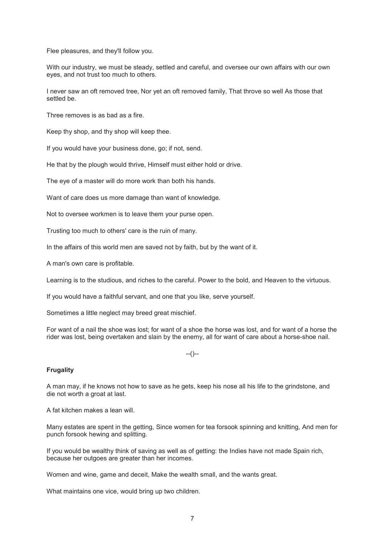Flee pleasures, and they'll follow you.

With our industry, we must be steady, settled and careful, and oversee our own affairs with our own eyes, and not trust too much to others.

I never saw an oft removed tree, Nor yet an oft removed family, That throve so well As those that settled be.

Three removes is as bad as a fire.

Keep thy shop, and thy shop will keep thee.

If you would have your business done, go; if not, send.

He that by the plough would thrive, Himself must either hold or drive.

The eye of a master will do more work than both his hands.

Want of care does us more damage than want of knowledge.

Not to oversee workmen is to leave them your purse open.

Trusting too much to others' care is the ruin of many.

In the affairs of this world men are saved not by faith, but by the want of it.

A man's own care is profitable.

Learning is to the studious, and riches to the careful. Power to the bold, and Heaven to the virtuous.

If you would have a faithful servant, and one that you like, serve yourself.

Sometimes a little neglect may breed great mischief.

For want of a nail the shoe was lost; for want of a shoe the horse was lost, and for want of a horse the rider was lost, being overtaken and slain by the enemy, all for want of care about a horse-shoe nail.

--()--

#### **Frugality**

A man may, if he knows not how to save as he gets, keep his nose all his life to the grindstone, and die not worth a groat at last.

A fat kitchen makes a lean will.

Many estates are spent in the getting, Since women for tea forsook spinning and knitting, And men for punch forsook hewing and splitting.

If you would be wealthy think of saving as well as of getting: the Indies have not made Spain rich, because her outgoes are greater than her incomes.

Women and wine, game and deceit, Make the wealth small, and the wants great.

What maintains one vice, would bring up two children.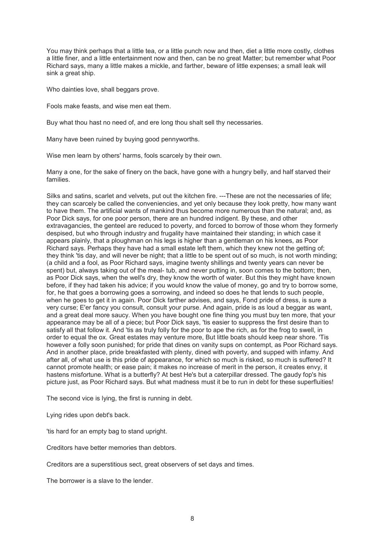You may think perhaps that a little tea, or a little punch now and then, diet a little more costly, clothes a little finer, and a little entertainment now and then, can be no great Matter; but remember what Poor Richard says, many a little makes a mickle, and farther, beware of little expenses; a small leak will sink a great ship.

Who dainties love, shall beggars prove.

Fools make feasts, and wise men eat them.

Buy what thou hast no need of, and ere long thou shalt sell thy necessaries.

Many have been ruined by buying good pennyworths.

Wise men learn by others' harms, fools scarcely by their own.

Many a one, for the sake of finery on the back, have gone with a hungry belly, and half starved their families.

Silks and satins, scarlet and velvets, put out the kitchen fire. ---These are not the necessaries of life; they can scarcely be called the conveniencies, and yet only because they look pretty, how many want to have them. The artificial wants of mankind thus become more numerous than the natural; and, as Poor Dick says, for one poor person, there are an hundred indigent. By these, and other extravagancies, the genteel are reduced to poverty, and forced to borrow of those whom they formerly despised, but who through industry and frugality have maintained their standing; in which case it appears plainly, that a ploughman on his legs is higher than a gentleman on his knees, as Poor Richard says. Perhaps they have had a small estate left them, which they knew not the getting of; they think 'tis day, and will never be night; that a little to be spent out of so much, is not worth minding; (a child and a fool, as Poor Richard says, imagine twenty shillings and twenty years can never be spent) but, always taking out of the meal- tub, and never putting in, soon comes to the bottom; then, as Poor Dick says, when the well's dry, they know the worth of water. But this they might have known before, if they had taken his advice; if you would know the value of money, go and try to borrow some, for, he that goes a borrowing goes a sorrowing, and indeed so does he that lends to such people, when he goes to get it in again. Poor Dick farther advises, and says, Fond pride of dress, is sure a very curse; E'er fancy you consult, consult your purse. And again, pride is as loud a beggar as want, and a great deal more saucy. When you have bought one fine thing you must buy ten more, that your appearance may be all of a piece; but Poor Dick says, 'tis easier to suppress the first desire than to satisfy all that follow it. And 'tis as truly folly for the poor to ape the rich, as for the frog to swell, in order to equal the ox. Great estates may venture more, But little boats should keep near shore. 'Tis however a folly soon punished; for pride that dines on vanity sups on contempt, as Poor Richard says. And in another place, pride breakfasted with plenty, dined with poverty, and supped with infamy. And after all, of what use is this pride of appearance, for which so much is risked, so much is suffered? It cannot promote health; or ease pain; it makes no increase of merit in the person, it creates envy, it hastens misfortune. What is a butterfly? At best He's but a caterpillar dressed. The gaudy fop's his picture just, as Poor Richard says. But what madness must it be to run in debt for these superfluities!

The second vice is lying, the first is running in debt.

Lying rides upon debt's back.

'tis hard for an empty bag to stand upright.

Creditors have better memories than debtors.

Creditors are a superstitious sect, great observers of set days and times.

The borrower is a slave to the lender.